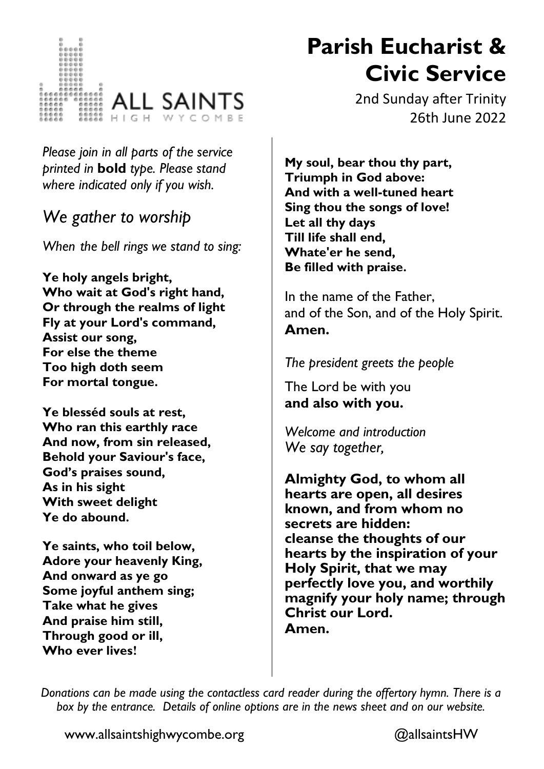

*Please join in all parts of the service printed in* **bold** *type. Please stand where indicated only if you wish.*

## *We gather to worship*

*When the bell rings we stand to sing:*

**Ye holy angels bright, Who wait at God's right hand, Or through the realms of light Fly at your Lord's command, Assist our song, For else the theme Too high doth seem For mortal tongue.**

**Ye blesséd souls at rest, Who ran this earthly race And now, from sin released, Behold your Saviour's face, God's praises sound, As in his sight With sweet delight Ye do abound.**

**Ye saints, who toil below, Adore your heavenly King, And onward as ye go Some joyful anthem sing; Take what he gives And praise him still, Through good or ill, Who ever lives!**

# **Parish Eucharist & Civic Service**

2nd Sunday after Trinity 26th June 2022

**My soul, bear thou thy part, Triumph in God above: And with a well-tuned heart Sing thou the songs of love! Let all thy days Till life shall end, Whate'er he send, Be filled with praise.**

In the name of the Father, and of the Son, and of the Holy Spirit. **Amen.**

*The president greets the people*

The Lord be with you **and also with you.**

*Welcome and introduction We say together,*

**Almighty God, to whom all hearts are open, all desires known, and from whom no secrets are hidden: cleanse the thoughts of our hearts by the inspiration of your Holy Spirit, that we may perfectly love you, and worthily magnify your holy name; through Christ our Lord. Amen.**

*Donations can be made using the contactless card reader during the offertory hymn. There is a box by the entrance. Details of online options are in the news sheet and on our website.*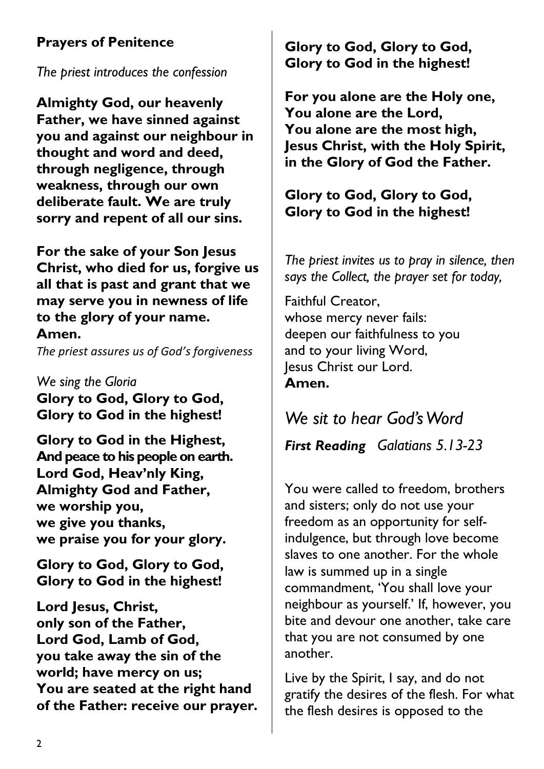#### **Prayers of Penitence**

*The priest introduces the confession*

**Almighty God, our heavenly Father, we have sinned against you and against our neighbour in thought and word and deed, through negligence, through weakness, through our own deliberate fault. We are truly sorry and repent of all our sins.**

**For the sake of your Son Jesus Christ, who died for us, forgive us all that is past and grant that we may serve you in newness of life to the glory of your name. Amen.**

*The priest assures us of God's forgiveness*

*We sing the Gloria* **Glory to God, Glory to God, Glory to God in the highest!**

**Glory to God in the Highest, And peace to his people on earth. Lord God, Heav'nly King, Almighty God and Father, we worship you, we give you thanks, we praise you for your glory.**

**Glory to God, Glory to God, Glory to God in the highest!**

**Lord Jesus, Christ, only son of the Father, Lord God, Lamb of God, you take away the sin of the world; have mercy on us; You are seated at the right hand of the Father: receive our prayer.** **Glory to God, Glory to God, Glory to God in the highest!**

**For you alone are the Holy one, You alone are the Lord, You alone are the most high, Jesus Christ, with the Holy Spirit, in the Glory of God the Father.**

**Glory to God, Glory to God, Glory to God in the highest!**

*The priest invites us to pray in silence, then says the Collect, the prayer set for today,* 

Faithful Creator, whose mercy never fails: deepen our faithfulness to you and to your living Word, Jesus Christ our Lord. **Amen.**

*We sit to hear God's Word*

*First Reading Galatians 5.13-23*

You were called to freedom, brothers and sisters; only do not use your freedom as an opportunity for selfindulgence, but through love become slaves to one another. For the whole law is summed up in a single commandment, 'You shall love your neighbour as yourself.' If, however, you bite and devour one another, take care that you are not consumed by one another.

Live by the Spirit, I say, and do not gratify the desires of the flesh. For what the flesh desires is opposed to the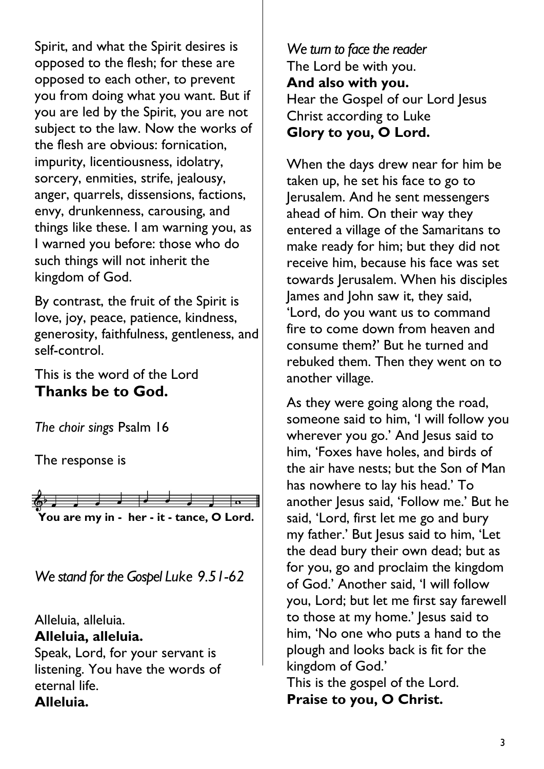Spirit, and what the Spirit desires is opposed to the flesh; for these are opposed to each other, to prevent you from doing what you want. But if you are led by the Spirit, you are not subject to the law. Now the works of the flesh are obvious: fornication, impurity, licentiousness, idolatry, sorcery, enmities, strife, jealousy, anger, quarrels, dissensions, factions, envy, drunkenness, carousing, and things like these. I am warning you, as I warned you before: those who do such things will not inherit the kingdom of God.

By contrast, the fruit of the Spirit is love, joy, peace, patience, kindness, generosity, faithfulness, gentleness, and self-control.

This is the word of the Lord **Thanks be to God.**

*The choir sings* Psalm 16

The response is



*We stand for the Gospel Luke 9.51-62*

Alleluia, alleluia. **Alleluia, alleluia.** Speak, Lord, for your servant is listening. You have the words of eternal life. **Alleluia.** 

*We turn to face the reader* The Lord be with you. **And also with you.** Hear the Gospel of our Lord Jesus Christ according to Luke **Glory to you, O Lord.**

When the days drew near for him be taken up, he set his face to go to Jerusalem. And he sent messengers ahead of him. On their way they entered a village of the Samaritans to make ready for him; but they did not receive him, because his face was set towards Jerusalem. When his disciples James and John saw it, they said, 'Lord, do you want us to command fire to come down from heaven and consume them?' But he turned and rebuked them. Then they went on to another village.

As they were going along the road, someone said to him, 'I will follow you wherever you go.' And Jesus said to him, 'Foxes have holes, and birds of the air have nests; but the Son of Man has nowhere to lay his head.' To another Jesus said, 'Follow me.' But he said, 'Lord, first let me go and bury my father.' But Jesus said to him, 'Let the dead bury their own dead; but as for you, go and proclaim the kingdom of God.' Another said, 'I will follow you, Lord; but let me first say farewell to those at my home.' Jesus said to him, 'No one who puts a hand to the plough and looks back is fit for the kingdom of God.' This is the gospel of the Lord.

**Praise to you, O Christ.**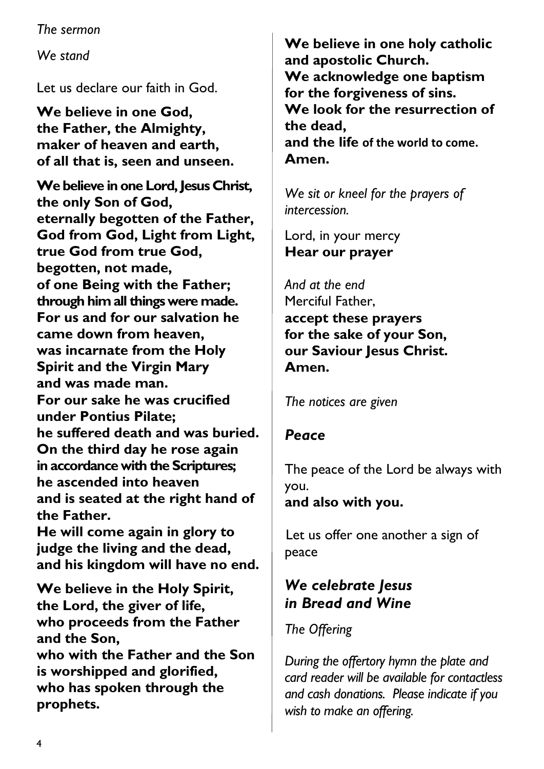*The sermon* 

*We stand*

Let us declare our faith in God.

**We believe in one God, the Father, the Almighty, maker of heaven and earth, of all that is, seen and unseen.**

**We believe in one Lord, Jesus Christ, the only Son of God, eternally begotten of the Father, God from God, Light from Light, true God from true God, begotten, not made, of one Being with the Father; through him all things were made. For us and for our salvation he came down from heaven, was incarnate from the Holy Spirit and the Virgin Mary and was made man. For our sake he was crucified under Pontius Pilate; he suffered death and was buried. On the third day he rose again in accordance with the Scriptures; he ascended into heaven and is seated at the right hand of the Father.**

**He will come again in glory to judge the living and the dead, and his kingdom will have no end.** 

**We believe in the Holy Spirit, the Lord, the giver of life, who proceeds from the Father and the Son, who with the Father and the Son is worshipped and glorified, who has spoken through the prophets.**

**We believe in one holy catholic and apostolic Church. We acknowledge one baptism for the forgiveness of sins. We look for the resurrection of the dead, and the life of the world to come. Amen.** 

*We sit or kneel for the prayers of intercession.* 

Lord, in your mercy **Hear our prayer**

*And at the end* Merciful Father, **accept these prayers for the sake of your Son, our Saviour Jesus Christ. Amen.**

*The notices are given*

#### *Peace*

The peace of the Lord be always with you. **and also with you.** 

Let us offer one another a sign of peace

## *We celebrate Jesus in Bread and Wine*

*The Offering* 

*During the offertory hymn the plate and card reader will be available for contactless and cash donations. Please indicate if you wish to make an offering.*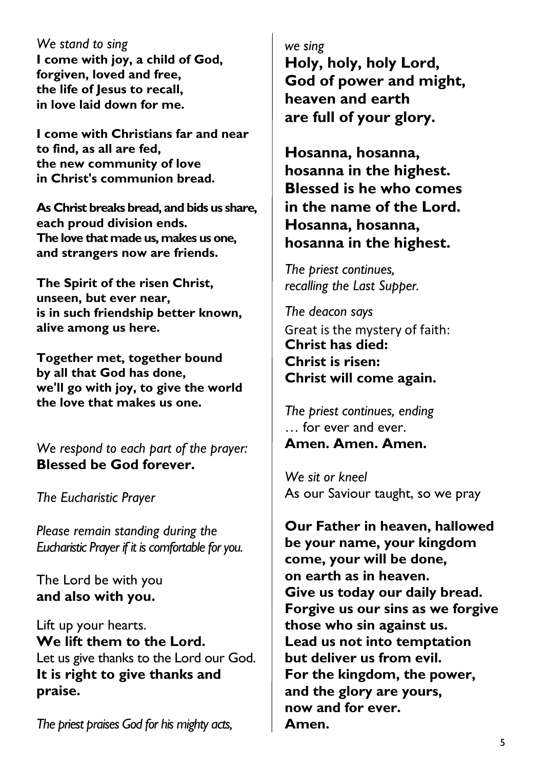*We stand to sing* **I come with joy, a child of God, forgiven, loved and free, the life of Jesus to recall, in love laid down for me.**

**I come with Christians far and near to find, as all are fed, the new community of love in Christ's communion bread.**

**As Christ breaks bread, and bids us share, each proud division ends. The love that made us, makes us one, and strangers now are friends.**

**The Spirit of the risen Christ, unseen, but ever near, is in such friendship better known, alive among us here.**

**Together met, together bound by all that God has done, we'll go with joy, to give the world the love that makes us one.**

*We respond to each part of the prayer:* **Blessed be God forever.**

*The Eucharistic Prayer* 

*Please remain standing during the Eucharistic Prayer if it is comfortable for you.*

The Lord be with you **and also with you.** 

Lift up your hearts. **We lift them to the Lord.**  Let us give thanks to the Lord our God. **It is right to give thanks and praise.** 

*The priest praises God for his mighty acts,* 

*we sing* **Holy, holy, holy Lord, God of power and might, heaven and earth are full of your glory.**

**Hosanna, hosanna, hosanna in the highest. Blessed is he who comes in the name of the Lord. Hosanna, hosanna, hosanna in the highest.**

*The priest continues, recalling the Last Supper.*

*The deacon says* Great is the mystery of faith: **Christ has died: Christ is risen: Christ will come again.**

*The priest continues, ending* … for ever and ever. **Amen. Amen. Amen.** 

*We sit or kneel* As our Saviour taught, so we pray

**Our Father in heaven, hallowed be your name, your kingdom come, your will be done, on earth as in heaven. Give us today our daily bread. Forgive us our sins as we forgive those who sin against us. Lead us not into temptation but deliver us from evil. For the kingdom, the power, and the glory are yours, now and for ever. Amen.**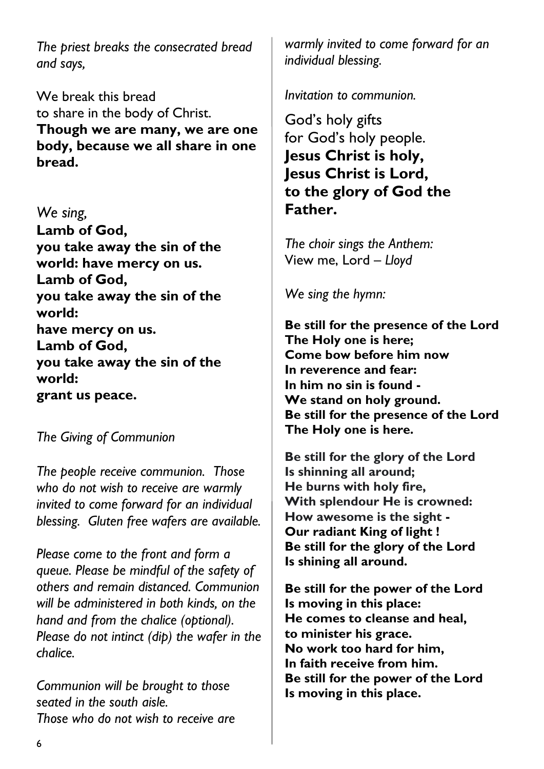*The priest breaks the consecrated bread and says,*

We break this bread to share in the body of Christ. **Though we are many, we are one body, because we all share in one bread.** 

*We sing,* **Lamb of God, you take away the sin of the world: have mercy on us. Lamb of God, you take away the sin of the world: have mercy on us. Lamb of God, you take away the sin of the world: grant us peace.**

*The Giving of Communion*

*The people receive communion. Those who do not wish to receive are warmly invited to come forward for an individual blessing. Gluten free wafers are available.*

*Please come to the front and form a queue. Please be mindful of the safety of others and remain distanced. Communion will be administered in both kinds, on the hand and from the chalice (optional). Please do not intinct (dip) the wafer in the chalice.*

*Communion will be brought to those seated in the south aisle. Those who do not wish to receive are*  *warmly invited to come forward for an individual blessing.* 

*Invitation to communion.*

God's holy gifts for God's holy people. **Jesus Christ is holy, Jesus Christ is Lord, to the glory of God the Father.**

*The choir sings the Anthem:*  View me, Lord – *Lloyd*

*We sing the hymn:*

**Be still for the presence of the Lord The Holy one is here; Come bow before him now In reverence and fear: In him no sin is found - We stand on holy ground. Be still for the presence of the Lord The Holy one is here.** 

**Be still for the glory of the Lord Is shinning all around; He burns with holy fire, With splendour He is crowned: How awesome is the sight - Our radiant King of light ! Be still for the glory of the Lord Is shining all around.**

**Be still for the power of the Lord Is moving in this place: He comes to cleanse and heal, to minister his grace. No work too hard for him, In faith receive from him. Be still for the power of the Lord Is moving in this place.**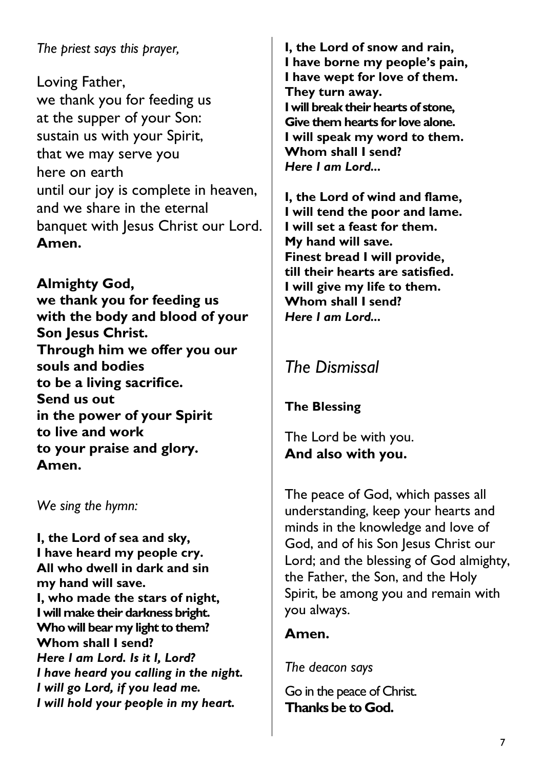*The priest says this prayer,*

Loving Father, we thank you for feeding us at the supper of your Son: sustain us with your Spirit, that we may serve you here on earth until our joy is complete in heaven, and we share in the eternal banquet with Jesus Christ our Lord. **Amen.**

**Almighty God, we thank you for feeding us with the body and blood of your Son Jesus Christ. Through him we offer you our souls and bodies to be a living sacrifice. Send us out in the power of your Spirit to live and work to your praise and glory. Amen.**

*We sing the hymn:*

**I, the Lord of sea and sky, I have heard my people cry. All who dwell in dark and sin my hand will save. I, who made the stars of night, I will make their darkness bright. Who will bear my light to them? Whom shall I send?** *Here I am Lord. Is it I, Lord? I have heard you calling in the night. I will go Lord, if you lead me. I will hold your people in my heart.*

**I, the Lord of snow and rain, I have borne my people's pain, I have wept for love of them. They turn away. I will break their hearts of stone, Give them hearts for love alone. I will speak my word to them. Whom shall I send?** *Here I am Lord...*

**I, the Lord of wind and flame, I will tend the poor and lame. I will set a feast for them. My hand will save. Finest bread I will provide, till their hearts are satisfied. I will give my life to them. Whom shall I send?** *Here I am Lord...*

## *The Dismissal*

#### **The Blessing**

The Lord be with you. **And also with you.**

The peace of God, which passes all understanding, keep your hearts and minds in the knowledge and love of God, and of his Son Jesus Christ our Lord; and the blessing of God almighty, the Father, the Son, and the Holy Spirit, be among you and remain with you always.

#### **Amen.**

*The deacon says*

Go in the peace of Christ. **Thanks be to God.**